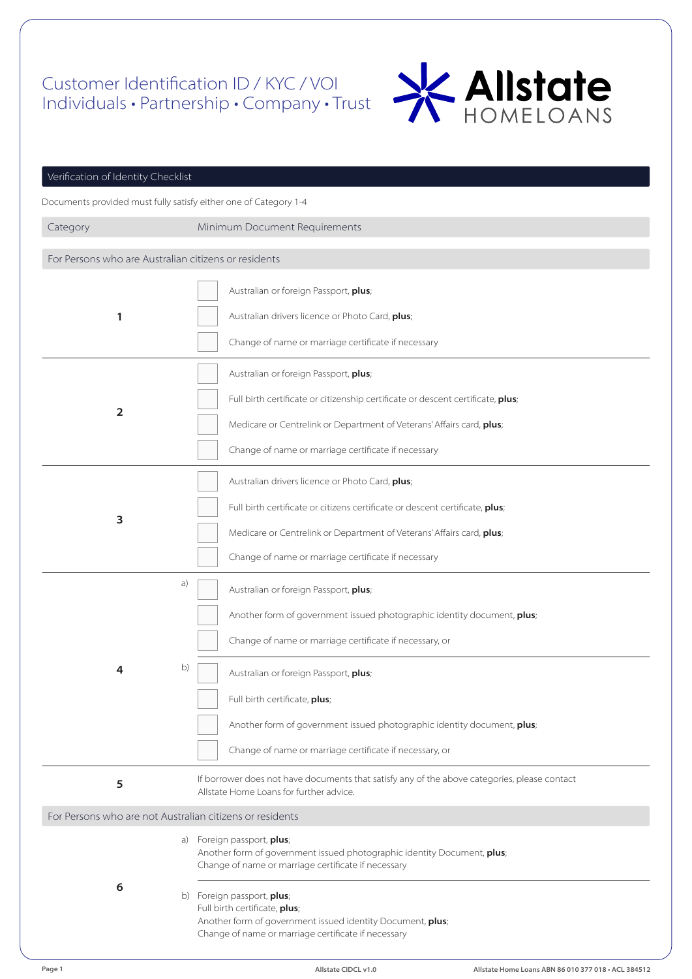## Customer Identification ID / KYC / VOI Individuals • Partnership • Company • Trust



| Verification of Identity Checklist                   |                                                                                                                                                                                  |  |  |
|------------------------------------------------------|----------------------------------------------------------------------------------------------------------------------------------------------------------------------------------|--|--|
|                                                      | Documents provided must fully satisfy either one of Category 1-4                                                                                                                 |  |  |
| Category                                             | Minimum Document Requirements                                                                                                                                                    |  |  |
| For Persons who are Australian citizens or residents |                                                                                                                                                                                  |  |  |
| 1                                                    | Australian or foreign Passport, plus;<br>Australian drivers licence or Photo Card, plus;                                                                                         |  |  |
|                                                      | Change of name or marriage certificate if necessary                                                                                                                              |  |  |
|                                                      | Australian or foreign Passport, plus;                                                                                                                                            |  |  |
| $\overline{\mathbf{2}}$                              | Full birth certificate or citizenship certificate or descent certificate, plus;                                                                                                  |  |  |
|                                                      | Medicare or Centrelink or Department of Veterans' Affairs card, plus;<br>Change of name or marriage certificate if necessary                                                     |  |  |
|                                                      | Australian drivers licence or Photo Card, plus;                                                                                                                                  |  |  |
|                                                      | Full birth certificate or citizens certificate or descent certificate, plus;                                                                                                     |  |  |
| 3                                                    | Medicare or Centrelink or Department of Veterans' Affairs card, plus;                                                                                                            |  |  |
|                                                      | Change of name or marriage certificate if necessary                                                                                                                              |  |  |
|                                                      | a)<br>Australian or foreign Passport, plus;                                                                                                                                      |  |  |
|                                                      | Another form of government issued photographic identity document, plus;                                                                                                          |  |  |
|                                                      | Change of name or marriage certificate if necessary, or                                                                                                                          |  |  |
| 4                                                    | b)<br>Australian or foreign Passport, plus;                                                                                                                                      |  |  |
|                                                      | Full birth certificate, plus;                                                                                                                                                    |  |  |
|                                                      | Another form of government issued photographic identity document, plus;                                                                                                          |  |  |
|                                                      | Change of name or marriage certificate if necessary, or                                                                                                                          |  |  |
| 5                                                    | If borrower does not have documents that satisfy any of the above categories, please contact<br>Allstate Home Loans for further advice.                                          |  |  |
|                                                      | For Persons who are not Australian citizens or residents                                                                                                                         |  |  |
|                                                      | a) Foreign passport, plus;<br>Another form of government issued photographic identity Document, plus;<br>Change of name or marriage certificate if necessary                     |  |  |
| 6                                                    | b) Foreign passport, plus;<br>Full birth certificate, plus;<br>Another form of government issued identity Document, plus;<br>Change of name or marriage certificate if necessary |  |  |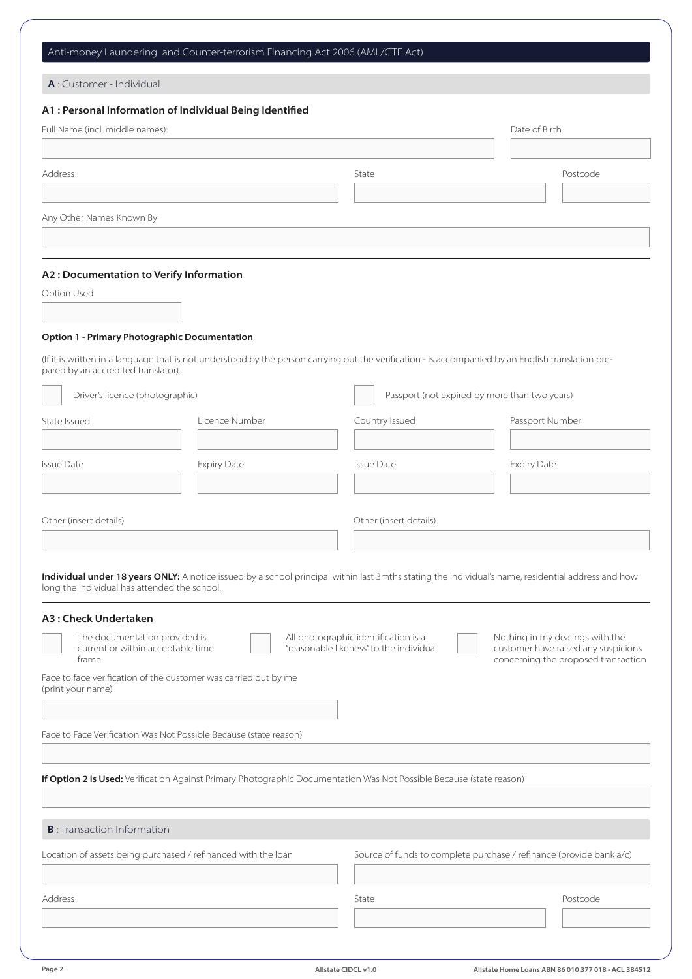## Anti-money Laundering and Counter-terrorism Financing Act 2006 (AML/CTF Act)

| A: Customer - Individual                                                             |                    |                                                                                                                                                    |                                                                                                               |
|--------------------------------------------------------------------------------------|--------------------|----------------------------------------------------------------------------------------------------------------------------------------------------|---------------------------------------------------------------------------------------------------------------|
| A1 : Personal Information of Individual Being Identified                             |                    |                                                                                                                                                    |                                                                                                               |
| Full Name (incl. middle names):                                                      |                    |                                                                                                                                                    | Date of Birth                                                                                                 |
|                                                                                      |                    |                                                                                                                                                    |                                                                                                               |
| Address                                                                              |                    | State                                                                                                                                              | Postcode                                                                                                      |
|                                                                                      |                    |                                                                                                                                                    |                                                                                                               |
|                                                                                      |                    |                                                                                                                                                    |                                                                                                               |
| Any Other Names Known By                                                             |                    |                                                                                                                                                    |                                                                                                               |
|                                                                                      |                    |                                                                                                                                                    |                                                                                                               |
|                                                                                      |                    |                                                                                                                                                    |                                                                                                               |
| A2: Documentation to Verify Information                                              |                    |                                                                                                                                                    |                                                                                                               |
| Option Used                                                                          |                    |                                                                                                                                                    |                                                                                                               |
|                                                                                      |                    |                                                                                                                                                    |                                                                                                               |
| <b>Option 1 - Primary Photographic Documentation</b>                                 |                    |                                                                                                                                                    |                                                                                                               |
| pared by an accredited translator).                                                  |                    | (If it is written in a language that is not understood by the person carrying out the verification - is accompanied by an English translation pre- |                                                                                                               |
| Driver's licence (photographic)                                                      |                    | Passport (not expired by more than two years)                                                                                                      |                                                                                                               |
| State Issued                                                                         | Licence Number     | Country Issued                                                                                                                                     | Passport Number                                                                                               |
|                                                                                      |                    |                                                                                                                                                    |                                                                                                               |
| <b>Issue Date</b>                                                                    | <b>Expiry Date</b> | <b>Issue Date</b>                                                                                                                                  | <b>Expiry Date</b>                                                                                            |
|                                                                                      |                    |                                                                                                                                                    |                                                                                                               |
|                                                                                      |                    |                                                                                                                                                    |                                                                                                               |
| Other (insert details)                                                               |                    | Other (insert details)                                                                                                                             |                                                                                                               |
|                                                                                      |                    |                                                                                                                                                    |                                                                                                               |
| long the individual has attended the school.                                         |                    | Individual under 18 years ONLY: A notice issued by a school principal within last 3mths stating the individual's name, residential address and how |                                                                                                               |
| A3: Check Undertaken                                                                 |                    |                                                                                                                                                    |                                                                                                               |
| The documentation provided is<br>current or within acceptable time<br>frame          |                    | All photographic identification is a<br>"reasonable likeness" to the individual                                                                    | Nothing in my dealings with the<br>customer have raised any suspicions<br>concerning the proposed transaction |
| Face to face verification of the customer was carried out by me<br>(print your name) |                    |                                                                                                                                                    |                                                                                                               |
|                                                                                      |                    |                                                                                                                                                    |                                                                                                               |
| Face to Face Verification Was Not Possible Because (state reason)                    |                    |                                                                                                                                                    |                                                                                                               |
|                                                                                      |                    |                                                                                                                                                    |                                                                                                               |
|                                                                                      |                    |                                                                                                                                                    |                                                                                                               |
|                                                                                      |                    | If Option 2 is Used: Verification Against Primary Photographic Documentation Was Not Possible Because (state reason)                               |                                                                                                               |
|                                                                                      |                    |                                                                                                                                                    |                                                                                                               |
| <b>B</b> : Transaction Information                                                   |                    |                                                                                                                                                    |                                                                                                               |
|                                                                                      |                    |                                                                                                                                                    |                                                                                                               |
| Location of assets being purchased / refinanced with the loan                        |                    | Source of funds to complete purchase / refinance (provide bank a/c)                                                                                |                                                                                                               |
|                                                                                      |                    |                                                                                                                                                    |                                                                                                               |
| Address                                                                              |                    | State                                                                                                                                              | Postcode                                                                                                      |
|                                                                                      |                    |                                                                                                                                                    |                                                                                                               |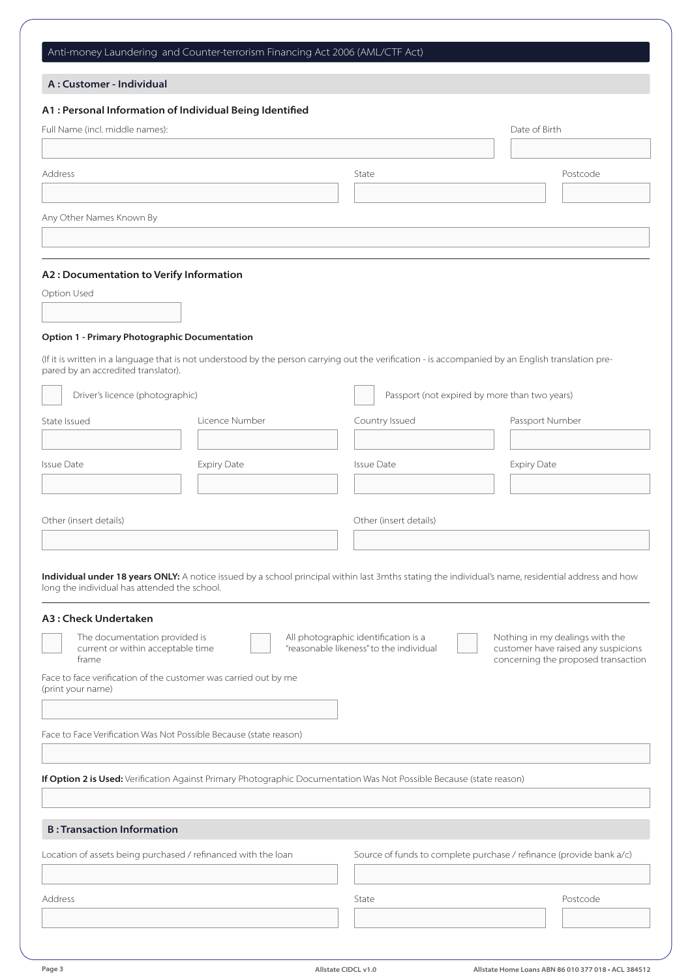#### Anti-money Laundering and Counter-terrorism Financing Act 2006 (AML/CTF Act)

#### A : Customer - Individual

# Full Name (incl. middle names): Any Other Names Known By Option Used State Issued Other (insert details) Face to face verification of the customer was carried out by me (print your name) Face to Face Verification Was Not Possible Because (state reason) If Option 2 is Used: Verification Against Primary Photographic Documentation Was Not Possible Because (state reason) Other (insert details) Licence Number Country Issued Passport Number Issue Date **In the Issue Date Issue Date Issue Date** Issue Date Issue Date Issue Date Issue Date Issue Date Issue Date of Birth A1 : Personal Information of Individual Being Identified A2 : Documentation to Verify Information A3 : Check Undertaken Option 1 - Primary Photographic Documentation (If it is written in a language that is not understood by the person carrying out the verification - is accompanied by an English translation prepared by an accredited translator). Individual under 18 years ONLY: A notice issued by a school principal within last 3mths stating the individual's name, residential address and how long the individual has attended the school. Address and the control of the control of the control of the State of the control of the control of the control of the control of the control of the control of the control of the control of the control of the control of th Driver's licence (photographic) **Passport (not expired by more than two years)** Passport (not expired by more than two years) The documentation provided is current or within acceptable time frame All photographic identification is a "reasonable likeness" to the individual Nothing in my dealings with the customer have raised any suspicions concerning the proposed transaction B : Transaction Information Location of assets being purchased / refinanced with the loan Source of funds to complete purchase / refinance (provide bank a/c) Address and the control of the control of the control of the State of the control of the control of the control of the control of the control of the control of the control of the control of the control of the control of th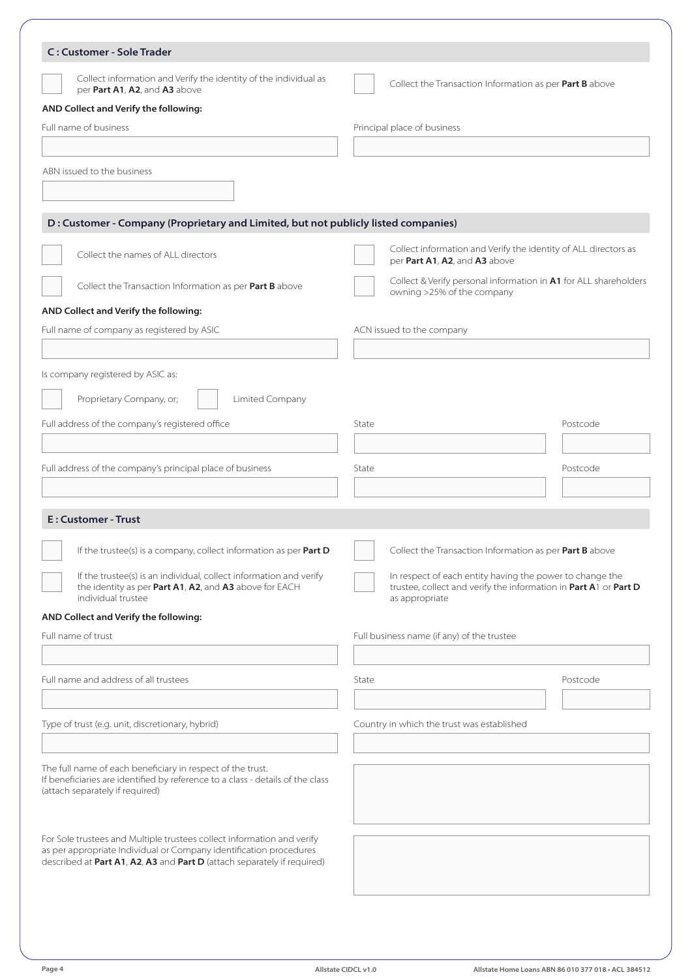| <b>C: Customer - Sole Trader</b>                                                                                                                                                |                                                                                                                                                |          |
|---------------------------------------------------------------------------------------------------------------------------------------------------------------------------------|------------------------------------------------------------------------------------------------------------------------------------------------|----------|
| Collect information and Verify the identity of the individual as<br>per Part A1, A2, and A3 above                                                                               | Collect the Transaction Information as per Part B above                                                                                        |          |
| AND Collect and Verify the following:                                                                                                                                           |                                                                                                                                                |          |
| Full name of business                                                                                                                                                           | Principal place of business                                                                                                                    |          |
|                                                                                                                                                                                 |                                                                                                                                                |          |
| ABN issued to the business                                                                                                                                                      |                                                                                                                                                |          |
|                                                                                                                                                                                 |                                                                                                                                                |          |
| D : Customer - Company (Proprietary and Limited, but not publicly listed companies)                                                                                             |                                                                                                                                                |          |
| Collect the names of ALL directors                                                                                                                                              | Collect information and Verify the identity of ALL directors as<br>per Part A1, A2, and A3 above                                               |          |
| Collect the Transaction Information as per Part B above                                                                                                                         | Collect & Verify personal information in A1 for ALL shareholders<br>owning >25% of the company                                                 |          |
| AND Collect and Verify the following:                                                                                                                                           |                                                                                                                                                |          |
| Full name of company as registered by ASIC                                                                                                                                      | ACN issued to the company                                                                                                                      |          |
|                                                                                                                                                                                 |                                                                                                                                                |          |
| Is company registered by ASIC as:                                                                                                                                               |                                                                                                                                                |          |
| Proprietary Company, or;<br>Limited Company                                                                                                                                     |                                                                                                                                                |          |
| Full address of the company's registered office                                                                                                                                 | State                                                                                                                                          | Postcode |
|                                                                                                                                                                                 |                                                                                                                                                |          |
| Full address of the company's principal place of business                                                                                                                       | State                                                                                                                                          | Postcode |
|                                                                                                                                                                                 |                                                                                                                                                |          |
| E: Customer - Trust                                                                                                                                                             |                                                                                                                                                |          |
| If the trustee(s) is a company, collect information as per <b>Part D</b>                                                                                                        | Collect the Transaction Information as per Part B above                                                                                        |          |
| If the trustee(s) is an individual, collect information and verify<br>the identity as per Part A1, A2, and A3 above for EACH<br>individual trustee                              | In respect of each entity having the power to change the<br>trustee, collect and verify the information in Part A1 or Part D<br>as appropriate |          |
| AND Collect and Verify the following:                                                                                                                                           |                                                                                                                                                |          |
| Full name of trust                                                                                                                                                              | Full business name (if any) of the trustee                                                                                                     |          |
| Full name and address of all trustees                                                                                                                                           | State                                                                                                                                          | Postcode |
| Type of trust (e.g. unit, discretionary, hybrid)                                                                                                                                | Country in which the trust was established                                                                                                     |          |
|                                                                                                                                                                                 |                                                                                                                                                |          |
|                                                                                                                                                                                 |                                                                                                                                                |          |
| The full name of each beneficiary in respect of the trust.<br>If beneficiaries are identified by reference to a class - details of the class<br>(attach separately if required) |                                                                                                                                                |          |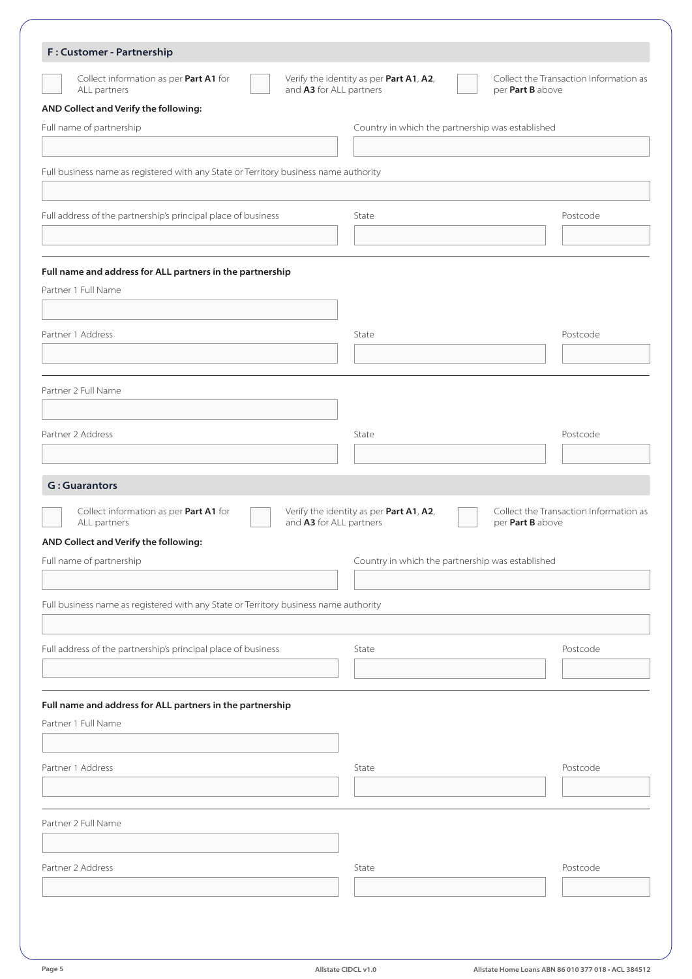| F: Customer - Partnership                                                            |                                                                    |                                                            |
|--------------------------------------------------------------------------------------|--------------------------------------------------------------------|------------------------------------------------------------|
| Collect information as per Part A1 for<br>ALL partners                               | Verify the identity as per Part A1, A2,<br>and A3 for ALL partners | Collect the Transaction Information as<br>per Part B above |
| AND Collect and Verify the following:                                                |                                                                    |                                                            |
| Full name of partnership                                                             | Country in which the partnership was established                   |                                                            |
|                                                                                      |                                                                    |                                                            |
| Full business name as registered with any State or Territory business name authority |                                                                    |                                                            |
| Full address of the partnership's principal place of business                        | State                                                              | Postcode                                                   |
|                                                                                      |                                                                    |                                                            |
| Full name and address for ALL partners in the partnership                            |                                                                    |                                                            |
| Partner 1 Full Name                                                                  |                                                                    |                                                            |
|                                                                                      |                                                                    |                                                            |
| Partner 1 Address                                                                    | State                                                              | Postcode                                                   |
|                                                                                      |                                                                    |                                                            |
| Partner 2 Full Name                                                                  |                                                                    |                                                            |
|                                                                                      |                                                                    |                                                            |
| Partner 2 Address                                                                    | State                                                              | Postcode                                                   |
|                                                                                      |                                                                    |                                                            |
|                                                                                      |                                                                    |                                                            |
| <b>G: Guarantors</b>                                                                 |                                                                    |                                                            |
| Collect information as per Part A1 for<br>ALL partners                               | Verify the identity as per Part A1, A2,<br>and A3 for ALL partners | per Part B above                                           |
| AND Collect and Verify the following:                                                |                                                                    |                                                            |
| Full name of partnership                                                             | Country in which the partnership was established                   | Collect the Transaction Information as                     |
|                                                                                      |                                                                    |                                                            |
|                                                                                      |                                                                    |                                                            |
| Full business name as registered with any State or Territory business name authority |                                                                    |                                                            |
| Full address of the partnership's principal place of business                        | State                                                              | Postcode                                                   |
|                                                                                      |                                                                    |                                                            |
|                                                                                      |                                                                    |                                                            |
|                                                                                      |                                                                    |                                                            |
| Full name and address for ALL partners in the partnership<br>Partner 1 Full Name     |                                                                    |                                                            |
| Partner 1 Address                                                                    | State                                                              | Postcode                                                   |
|                                                                                      |                                                                    |                                                            |
| Partner 2 Full Name                                                                  |                                                                    |                                                            |
|                                                                                      |                                                                    |                                                            |
| Partner 2 Address                                                                    | State                                                              | Postcode                                                   |
|                                                                                      |                                                                    |                                                            |